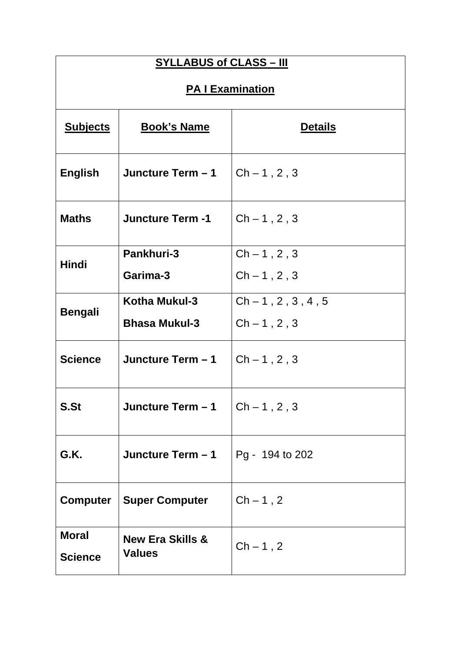| <b>SYLLABUS of CLASS - III</b> |                                              |                    |  |  |
|--------------------------------|----------------------------------------------|--------------------|--|--|
| <b>PA I Examination</b>        |                                              |                    |  |  |
| <b>Subjects</b>                | <b>Book's Name</b>                           | <b>Details</b>     |  |  |
| English                        | Juncture Term - 1                            | $Ch - 1, 2, 3$     |  |  |
| <b>Maths</b>                   | $Ch - 1, 2, 3$<br><b>Juncture Term -1</b>    |                    |  |  |
|                                | <b>Pankhuri-3</b>                            | $Ch - 1, 2, 3$     |  |  |
| Hindi                          | Garima-3                                     | $Ch - 1, 2, 3$     |  |  |
|                                | Kotha Mukul-3                                | $Ch-1, 2, 3, 4, 5$ |  |  |
| <b>Bengali</b>                 | <b>Bhasa Mukul-3</b>                         | $Ch - 1, 2, 3$     |  |  |
| <b>Science</b>                 | Juncture Term - 1                            | $Ch - 1, 2, 3$     |  |  |
| S.St                           | Juncture Term - 1                            | $Ch - 1, 2, 3$     |  |  |
| G.K.                           | Juncture Term - 1<br>Pg - 194 to 202         |                    |  |  |
| <b>Computer</b>                | <b>Super Computer</b><br>$Ch-1, 2$           |                    |  |  |
| <b>Moral</b><br><b>Science</b> | <b>New Era Skills &amp;</b><br><b>Values</b> | $Ch-1, 2$          |  |  |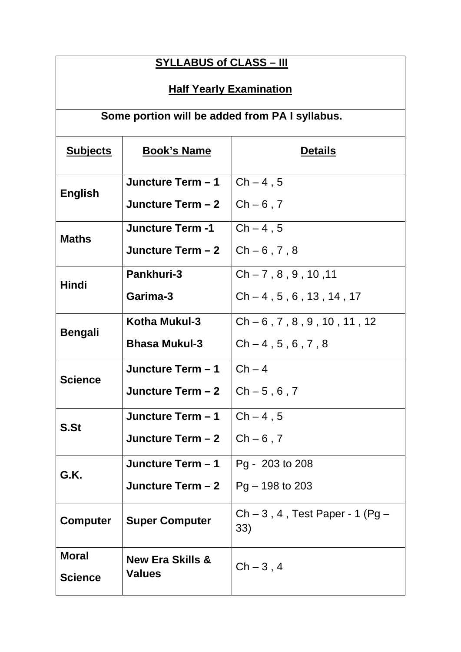| <b>SYLLABUS of CLASS - III</b>                  |                                              |                                  |  |  |
|-------------------------------------------------|----------------------------------------------|----------------------------------|--|--|
| <b>Half Yearly Examination</b>                  |                                              |                                  |  |  |
| Some portion will be added from PA I syllabus.  |                                              |                                  |  |  |
| <b>Subjects</b>                                 | <b>Book's Name</b>                           | <b>Details</b>                   |  |  |
| <b>English</b>                                  | Juncture Term - 1                            | $Ch-4, 5$                        |  |  |
|                                                 | Juncture Term - 2                            | $Ch - 6, 7$                      |  |  |
| <b>Maths</b>                                    | <b>Juncture Term -1</b>                      | $Ch-4, 5$                        |  |  |
|                                                 | Juncture Term - 2                            | $Ch - 6, 7, 8$                   |  |  |
| <b>Hindi</b>                                    | Pankhuri-3                                   | $Ch - 7.8.9.10.11$               |  |  |
|                                                 | Garima-3                                     | $Ch - 4, 5, 6, 13, 14, 17$       |  |  |
|                                                 | Kotha Mukul-3                                | $Ch - 6$ , 7, 8, 9, 10, 11, 12   |  |  |
| <b>Bengali</b>                                  | <b>Bhasa Mukul-3</b>                         | $Ch-4, 5, 6, 7, 8$               |  |  |
| <b>Science</b>                                  | Juncture Term - 1                            | $Ch-4$                           |  |  |
|                                                 | Juncture Term - 2                            | $Ch - 5, 6, 7$                   |  |  |
| S.St                                            | Juncture Term - 1                            | $Ch-4, 5$                        |  |  |
|                                                 | Juncture Term - 2                            | $Ch - 6$ , 7                     |  |  |
| G.K.                                            | Juncture Term - 1                            | Pg - 203 to 208                  |  |  |
|                                                 | Juncture Term - 2                            | $Pg - 198$ to 203                |  |  |
| <b>Computer</b><br><b>Super Computer</b><br>33) |                                              | $Ch-3$ , 4, Test Paper - 1 (Pg – |  |  |
| <b>Moral</b>                                    | <b>New Era Skills &amp;</b><br><b>Values</b> | $Ch-3, 4$                        |  |  |
| <b>Science</b>                                  |                                              |                                  |  |  |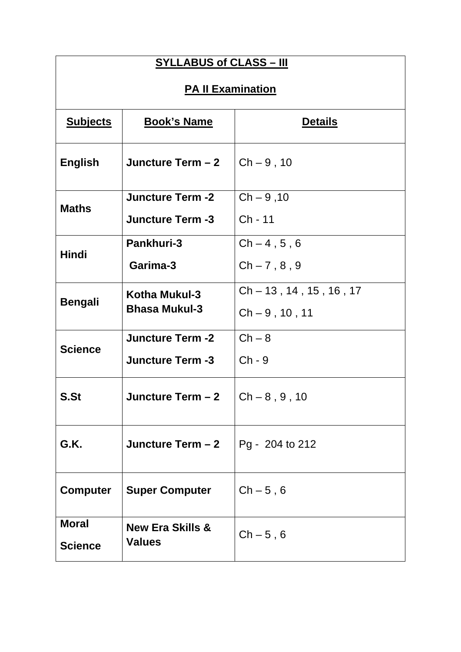| <b>SYLLABUS of CLASS - III</b> |                                      |                           |  |
|--------------------------------|--------------------------------------|---------------------------|--|
| <b>PA II Examination</b>       |                                      |                           |  |
| <b>Subjects</b>                | <b>Details</b>                       |                           |  |
| <b>English</b>                 | Juncture Term - 2                    | $Ch - 9, 10$              |  |
| <b>Maths</b>                   | <b>Juncture Term -2</b>              | $Ch - 9, 10$              |  |
|                                | <b>Juncture Term -3</b>              | Ch - 11                   |  |
| <b>Hindi</b>                   | <b>Pankhuri-3</b>                    | $Ch-4, 5, 6$              |  |
|                                | Garima-3                             | $Ch - 7, 8, 9$            |  |
|                                | Kotha Mukul-3                        | $Ch - 13, 14, 15, 16, 17$ |  |
| <b>Bengali</b>                 | <b>Bhasa Mukul-3</b>                 | $Ch - 9, 10, 11$          |  |
|                                | <b>Juncture Term -2</b>              | $Ch - 8$                  |  |
| <b>Science</b>                 | <b>Juncture Term -3</b>              | $Ch - 9$                  |  |
| S.St                           | Juncture Term - 2                    | $Ch - 8, 9, 10$           |  |
| G.K.                           | Juncture Term $-2$                   | Pg - 204 to 212           |  |
| <b>Computer</b>                | <b>Super Computer</b><br>$Ch - 5, 6$ |                           |  |
| <b>Moral</b>                   | <b>New Era Skills &amp;</b>          | $Ch - 5, 6$               |  |
| <b>Science</b>                 | <b>Values</b>                        |                           |  |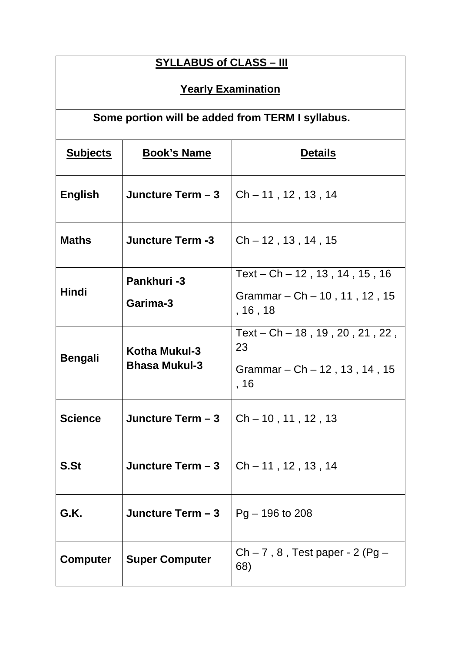| <b>SYLLABUS of CLASS - III</b> |                                        |                                                                                       |  |
|--------------------------------|----------------------------------------|---------------------------------------------------------------------------------------|--|
| <b>Yearly Examination</b>      |                                        |                                                                                       |  |
|                                |                                        | Some portion will be added from TERM I syllabus.                                      |  |
| <b>Subjects</b>                | <b>Book's Name</b><br><b>Details</b>   |                                                                                       |  |
| <b>English</b>                 | Juncture Term - 3                      | $Ch - 11$ , 12, 13, 14                                                                |  |
| <b>Maths</b>                   | <b>Juncture Term -3</b>                | $Ch - 12$ , 13, 14, 15                                                                |  |
| <b>Hindi</b>                   | Pankhuri-3                             | Text – $Ch - 12$ , 13, 14, 15, 16                                                     |  |
|                                | Garima-3                               | Grammar $-$ Ch $-$ 10, 11, 12, 15<br>,16,18                                           |  |
| <b>Bengali</b>                 | Kotha Mukul-3<br><b>Bhasa Mukul-3</b>  | Text - $Ch - 18$ , 19, 20, 21, 22,<br>23<br>Grammar $-$ Ch $-$ 12, 13, 14, 15<br>, 16 |  |
| <b>Science</b>                 | Juncture Term - 3                      | $Ch - 10$ , 11, 12, 13                                                                |  |
| S.St                           | Juncture Term - 3                      | $Ch - 11$ , 12, 13, 14                                                                |  |
| G.K.                           | Juncture Term - 3<br>$Pg - 196$ to 208 |                                                                                       |  |
| <b>Computer</b>                | <b>Super Computer</b>                  | $Ch - 7$ , 8, Test paper - 2 (Pg –<br>68)                                             |  |